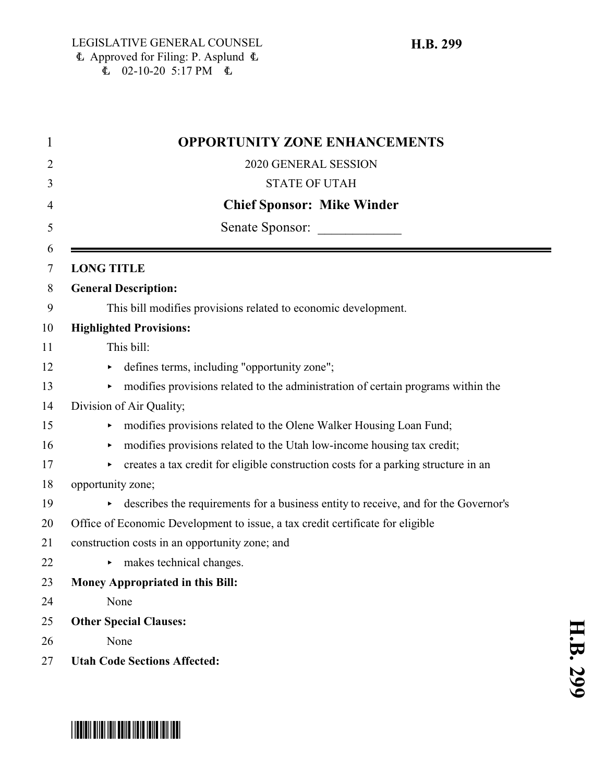| 1      | <b>OPPORTUNITY ZONE ENHANCEMENTS</b>                                                     |
|--------|------------------------------------------------------------------------------------------|
| 2      | 2020 GENERAL SESSION                                                                     |
| 3      | <b>STATE OF UTAH</b>                                                                     |
| 4      | <b>Chief Sponsor: Mike Winder</b>                                                        |
| 5      | Senate Sponsor:                                                                          |
| 6<br>7 | <b>LONG TITLE</b>                                                                        |
| 8      | <b>General Description:</b>                                                              |
| 9      | This bill modifies provisions related to economic development.                           |
| 10     | <b>Highlighted Provisions:</b>                                                           |
| 11     | This bill:                                                                               |
| 12     | defines terms, including "opportunity zone";<br>▶                                        |
| 13     | modifies provisions related to the administration of certain programs within the         |
| 14     | Division of Air Quality;                                                                 |
| 15     | modifies provisions related to the Olene Walker Housing Loan Fund;<br>▶                  |
| 16     | modifies provisions related to the Utah low-income housing tax credit;                   |
| 17     | creates a tax credit for eligible construction costs for a parking structure in an<br>▶. |
| 18     | opportunity zone;                                                                        |
| 19     | describes the requirements for a business entity to receive, and for the Governor's      |
| 20     | Office of Economic Development to issue, a tax credit certificate for eligible           |
| 21     | construction costs in an opportunity zone; and                                           |
| 22     | makes technical changes.<br>►                                                            |
| 23     | <b>Money Appropriated in this Bill:</b>                                                  |
| 24     | None                                                                                     |
| 25     | <b>Other Special Clauses:</b>                                                            |
| 26     | None                                                                                     |
| 27     | <b>Utah Code Sections Affected:</b>                                                      |

# \*HB0299\*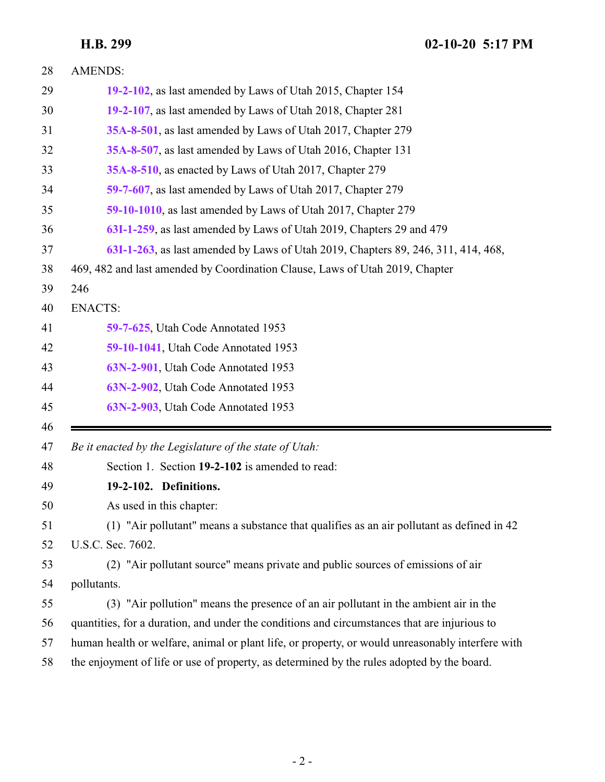<span id="page-1-0"></span>

| 28       | <b>AMENDS:</b>                                                                                   |
|----------|--------------------------------------------------------------------------------------------------|
| 29       | 19-2-102, as last amended by Laws of Utah 2015, Chapter 154                                      |
| 30       | 19-2-107, as last amended by Laws of Utah 2018, Chapter 281                                      |
| 31       | 35A-8-501, as last amended by Laws of Utah 2017, Chapter 279                                     |
| 32       | 35A-8-507, as last amended by Laws of Utah 2016, Chapter 131                                     |
| 33       | 35A-8-510, as enacted by Laws of Utah 2017, Chapter 279                                          |
| 34       | 59-7-607, as last amended by Laws of Utah 2017, Chapter 279                                      |
| 35       | 59-10-1010, as last amended by Laws of Utah 2017, Chapter 279                                    |
| 36       | 63I-1-259, as last amended by Laws of Utah 2019, Chapters 29 and 479                             |
| 37       | 63I-1-263, as last amended by Laws of Utah 2019, Chapters 89, 246, 311, 414, 468,                |
| 38       | 469, 482 and last amended by Coordination Clause, Laws of Utah 2019, Chapter                     |
| 39       | 246                                                                                              |
| 40       | <b>ENACTS:</b>                                                                                   |
| 41       | 59-7-625, Utah Code Annotated 1953                                                               |
| 42       | 59-10-1041, Utah Code Annotated 1953                                                             |
| 43       | 63N-2-901, Utah Code Annotated 1953                                                              |
|          |                                                                                                  |
| 44       | 63N-2-902, Utah Code Annotated 1953                                                              |
| 45       | 63N-2-903, Utah Code Annotated 1953                                                              |
| 46<br>47 | Be it enacted by the Legislature of the state of Utah:                                           |
| 48       | Section 1. Section 19-2-102 is amended to read:                                                  |
| 49       | 19-2-102. Definitions.                                                                           |
| 50       | As used in this chapter:                                                                         |
| 51       | (1) "Air pollutant" means a substance that qualifies as an air pollutant as defined in 42        |
| 52       | U.S.C. Sec. 7602.                                                                                |
| 53       | (2) "Air pollutant source" means private and public sources of emissions of air                  |
| 54       | pollutants.                                                                                      |
| 55       | (3) "Air pollution" means the presence of an air pollutant in the ambient air in the             |
| 56       | quantities, for a duration, and under the conditions and circumstances that are injurious to     |
| 57       | human health or welfare, animal or plant life, or property, or would unreasonably interfere with |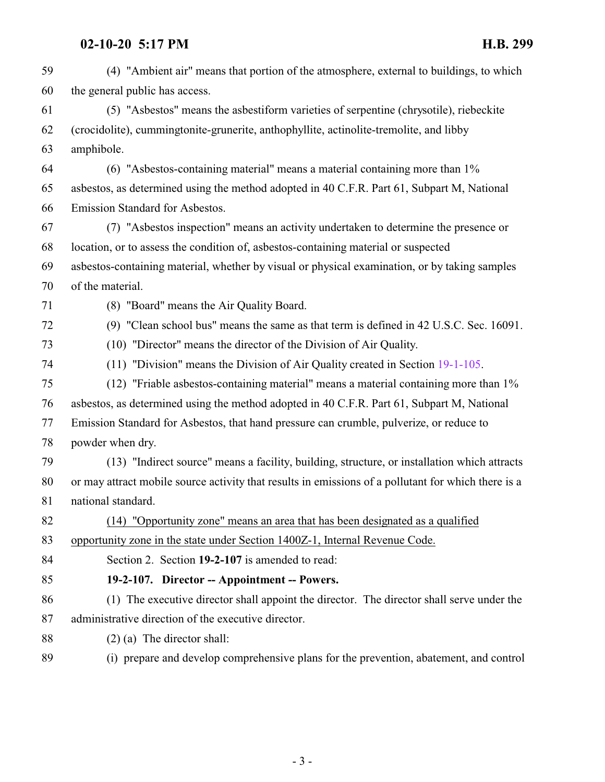<span id="page-2-0"></span>

| 59 | (4) "Ambient air" means that portion of the atmosphere, external to buildings, to which             |
|----|-----------------------------------------------------------------------------------------------------|
| 60 | the general public has access.                                                                      |
| 61 | (5) "Asbestos" means the asbestiform varieties of serpentine (chrysotile), riebeckite               |
| 62 | (crocidolite), cummingtonite-grunerite, anthophyllite, actinolite-tremolite, and libby              |
| 63 | amphibole.                                                                                          |
| 64 | $(6)$ "Asbestos-containing material" means a material containing more than $1\%$                    |
| 65 | asbestos, as determined using the method adopted in 40 C.F.R. Part 61, Subpart M, National          |
| 66 | Emission Standard for Asbestos.                                                                     |
| 67 | (7) "Asbestos inspection" means an activity undertaken to determine the presence or                 |
| 68 | location, or to assess the condition of, asbestos-containing material or suspected                  |
| 69 | asbestos-containing material, whether by visual or physical examination, or by taking samples       |
| 70 | of the material.                                                                                    |
| 71 | (8) "Board" means the Air Quality Board.                                                            |
| 72 | (9) "Clean school bus" means the same as that term is defined in 42 U.S.C. Sec. 16091.              |
| 73 | (10) "Director" means the director of the Division of Air Quality.                                  |
| 74 | (11) "Division" means the Division of Air Quality created in Section 19-1-105.                      |
| 75 | $(12)$ "Friable asbestos-containing material" means a material containing more than $1\%$           |
| 76 | asbestos, as determined using the method adopted in 40 C.F.R. Part 61, Subpart M, National          |
| 77 | Emission Standard for Asbestos, that hand pressure can crumble, pulverize, or reduce to             |
| 78 | powder when dry.                                                                                    |
| 79 | (13) "Indirect source" means a facility, building, structure, or installation which attracts        |
| 80 | or may attract mobile source activity that results in emissions of a pollutant for which there is a |
| 81 | national standard.                                                                                  |
| 82 | (14) "Opportunity zone" means an area that has been designated as a qualified                       |
| 83 | opportunity zone in the state under Section 1400Z-1, Internal Revenue Code.                         |
| 84 | Section 2. Section 19-2-107 is amended to read:                                                     |
| 85 | 19-2-107. Director -- Appointment -- Powers.                                                        |
| 86 | (1) The executive director shall appoint the director. The director shall serve under the           |
| 87 | administrative direction of the executive director.                                                 |
| 88 | $(2)$ (a) The director shall:                                                                       |
| 89 | (i) prepare and develop comprehensive plans for the prevention, abatement, and control              |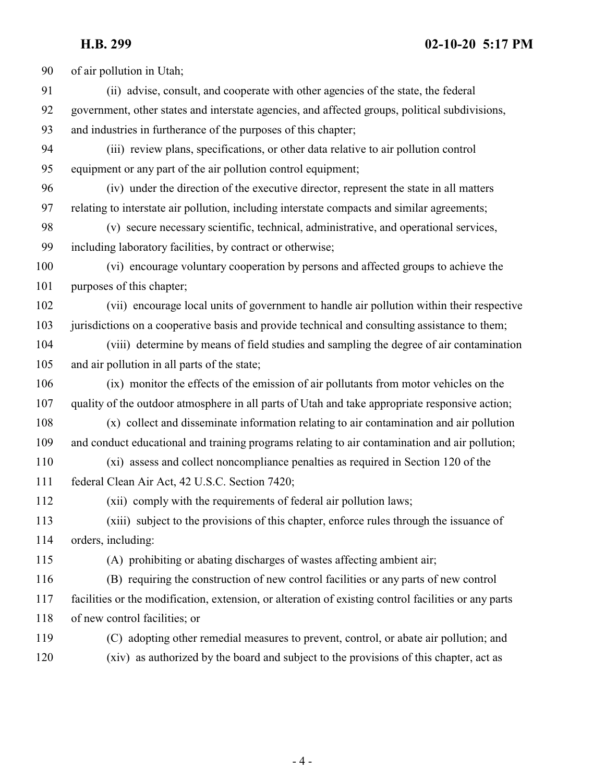of air pollution in Utah; (ii) advise, consult, and cooperate with other agencies of the state, the federal government, other states and interstate agencies, and affected groups, political subdivisions, and industries in furtherance of the purposes of this chapter; (iii) review plans, specifications, or other data relative to air pollution control equipment or any part of the air pollution control equipment; (iv) under the direction of the executive director, represent the state in all matters relating to interstate air pollution, including interstate compacts and similar agreements; (v) secure necessary scientific, technical, administrative, and operational services, including laboratory facilities, by contract or otherwise; (vi) encourage voluntary cooperation by persons and affected groups to achieve the purposes of this chapter; (vii) encourage local units of government to handle air pollution within their respective jurisdictions on a cooperative basis and provide technical and consulting assistance to them; (viii) determine by means of field studies and sampling the degree of air contamination and air pollution in all parts of the state; (ix) monitor the effects of the emission of air pollutants from motor vehicles on the quality of the outdoor atmosphere in all parts of Utah and take appropriate responsive action; (x) collect and disseminate information relating to air contamination and air pollution and conduct educational and training programs relating to air contamination and air pollution; (xi) assess and collect noncompliance penalties as required in Section 120 of the federal Clean Air Act, 42 U.S.C. Section 7420; (xii) comply with the requirements of federal air pollution laws; (xiii) subject to the provisions of this chapter, enforce rules through the issuance of orders, including: (A) prohibiting or abating discharges of wastes affecting ambient air; (B) requiring the construction of new control facilities or any parts of new control facilities or the modification, extension, or alteration of existing control facilities or any parts of new control facilities; or (C) adopting other remedial measures to prevent, control, or abate air pollution; and (xiv) as authorized by the board and subject to the provisions of this chapter, act as

- 4 -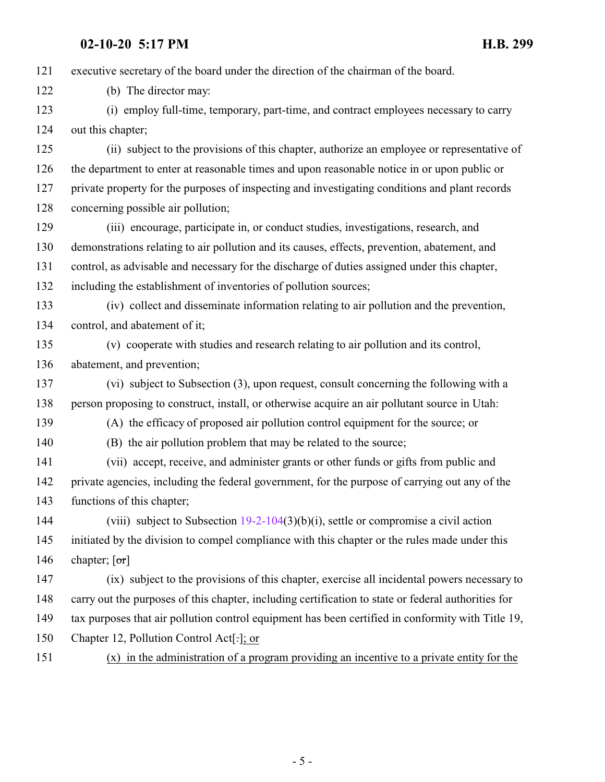executive secretary of the board under the direction of the chairman of the board.

(b) The director may:

 (i) employ full-time, temporary, part-time, and contract employees necessary to carry out this chapter;

 (ii) subject to the provisions of this chapter, authorize an employee or representative of the department to enter at reasonable times and upon reasonable notice in or upon public or private property for the purposes of inspecting and investigating conditions and plant records concerning possible air pollution;

 (iii) encourage, participate in, or conduct studies, investigations, research, and demonstrations relating to air pollution and its causes, effects, prevention, abatement, and control, as advisable and necessary for the discharge of duties assigned under this chapter, including the establishment of inventories of pollution sources;

 (iv) collect and disseminate information relating to air pollution and the prevention, control, and abatement of it;

 (v) cooperate with studies and research relating to air pollution and its control, abatement, and prevention;

 (vi) subject to Subsection (3), upon request, consult concerning the following with a person proposing to construct, install, or otherwise acquire an air pollutant source in Utah:

(A) the efficacy of proposed air pollution control equipment for the source; or

(B) the air pollution problem that may be related to the source;

 (vii) accept, receive, and administer grants or other funds or gifts from public and private agencies, including the federal government, for the purpose of carrying out any of the functions of this chapter;

 (viii) subject to Subsection [19-2-104](http://le.utah.gov/UtahCode/SectionLookup.jsp?section=19-2-104&session=2020GS)(3)(b)(i), settle or compromise a civil action initiated by the division to compel compliance with this chapter or the rules made under this 146 chapter;  $\lceil \text{or} \rceil$ 

 (ix) subject to the provisions of this chapter, exercise all incidental powers necessary to carry out the purposes of this chapter, including certification to state or federal authorities for tax purposes that air pollution control equipment has been certified in conformity with Title 19,

Chapter 12, Pollution Control Act[.]; or

(x) in the administration of a program providing an incentive to a private entity for the

- 5 -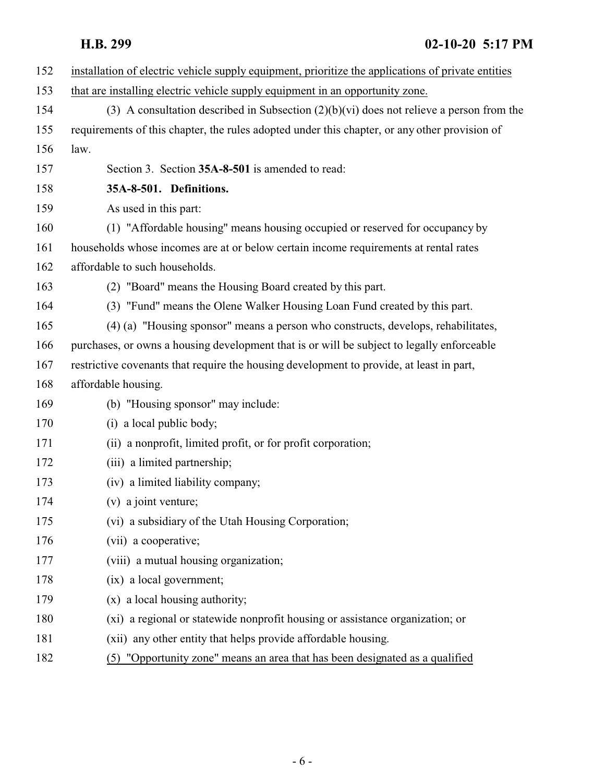<span id="page-5-0"></span>

| 152 | installation of electric vehicle supply equipment, prioritize the applications of private entities |
|-----|----------------------------------------------------------------------------------------------------|
| 153 | that are installing electric vehicle supply equipment in an opportunity zone.                      |
| 154 | (3) A consultation described in Subsection $(2)(b)(vi)$ does not relieve a person from the         |
| 155 | requirements of this chapter, the rules adopted under this chapter, or any other provision of      |
| 156 | law.                                                                                               |
| 157 | Section 3. Section 35A-8-501 is amended to read:                                                   |
| 158 | 35A-8-501. Definitions.                                                                            |
| 159 | As used in this part:                                                                              |
| 160 | (1) "Affordable housing" means housing occupied or reserved for occupancy by                       |
| 161 | households whose incomes are at or below certain income requirements at rental rates               |
| 162 | affordable to such households.                                                                     |
| 163 | (2) "Board" means the Housing Board created by this part.                                          |
| 164 | (3) "Fund" means the Olene Walker Housing Loan Fund created by this part.                          |
| 165 | (4) (a) "Housing sponsor" means a person who constructs, develops, rehabilitates,                  |
| 166 | purchases, or owns a housing development that is or will be subject to legally enforceable         |
| 167 | restrictive covenants that require the housing development to provide, at least in part,           |
| 168 | affordable housing.                                                                                |
| 169 | (b) "Housing sponsor" may include:                                                                 |
| 170 | (i) a local public body;                                                                           |
| 171 | (ii) a nonprofit, limited profit, or for profit corporation;                                       |
| 172 | (iii) a limited partnership;                                                                       |
| 173 | (iv) a limited liability company;                                                                  |
| 174 | $(v)$ a joint venture;                                                                             |
| 175 | (vi) a subsidiary of the Utah Housing Corporation;                                                 |
| 176 | (vii) a cooperative;                                                                               |
| 177 | (viii) a mutual housing organization;                                                              |
| 178 | (ix) a local government;                                                                           |
| 179 | (x) a local housing authority;                                                                     |
| 180 | (xi) a regional or statewide nonprofit housing or assistance organization; or                      |
| 181 | (xii) any other entity that helps provide affordable housing.                                      |
| 182 | "Opportunity zone" means an area that has been designated as a qualified<br>(5)                    |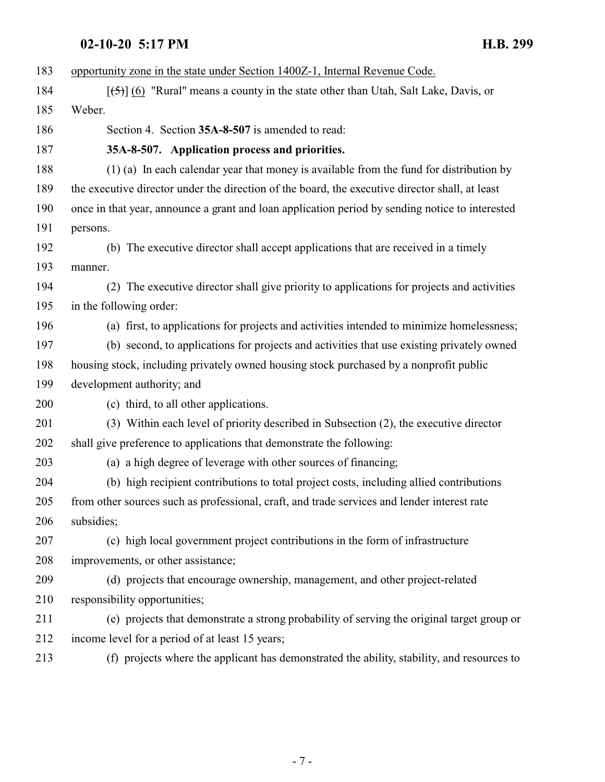<span id="page-6-0"></span>

| 183 | opportunity zone in the state under Section 1400Z-1, Internal Revenue Code.                                |
|-----|------------------------------------------------------------------------------------------------------------|
| 184 | $[\frac{1}{2}, \frac{1}{2}]$ (6) "Rural" means a county in the state other than Utah, Salt Lake, Davis, or |
| 185 | Weber.                                                                                                     |
| 186 | Section 4. Section 35A-8-507 is amended to read:                                                           |
| 187 | 35A-8-507. Application process and priorities.                                                             |
| 188 | (1) (a) In each calendar year that money is available from the fund for distribution by                    |
| 189 | the executive director under the direction of the board, the executive director shall, at least            |
| 190 | once in that year, announce a grant and loan application period by sending notice to interested            |
| 191 | persons.                                                                                                   |
| 192 | (b) The executive director shall accept applications that are received in a timely                         |
| 193 | manner.                                                                                                    |
| 194 | (2) The executive director shall give priority to applications for projects and activities                 |
| 195 | in the following order:                                                                                    |
| 196 | (a) first, to applications for projects and activities intended to minimize homelessness;                  |
| 197 | (b) second, to applications for projects and activities that use existing privately owned                  |
| 198 | housing stock, including privately owned housing stock purchased by a nonprofit public                     |
| 199 | development authority; and                                                                                 |
| 200 | (c) third, to all other applications.                                                                      |
| 201 | (3) Within each level of priority described in Subsection (2), the executive director                      |
| 202 | shall give preference to applications that demonstrate the following:                                      |
| 203 | (a) a high degree of leverage with other sources of financing;                                             |
| 204 | (b) high recipient contributions to total project costs, including allied contributions                    |
| 205 | from other sources such as professional, craft, and trade services and lender interest rate                |
| 206 | subsidies;                                                                                                 |
| 207 | (c) high local government project contributions in the form of infrastructure                              |
| 208 | improvements, or other assistance;                                                                         |
| 209 | (d) projects that encourage ownership, management, and other project-related                               |
| 210 | responsibility opportunities;                                                                              |
| 211 | (e) projects that demonstrate a strong probability of serving the original target group or                 |
| 212 | income level for a period of at least 15 years;                                                            |
| 213 | (f) projects where the applicant has demonstrated the ability, stability, and resources to                 |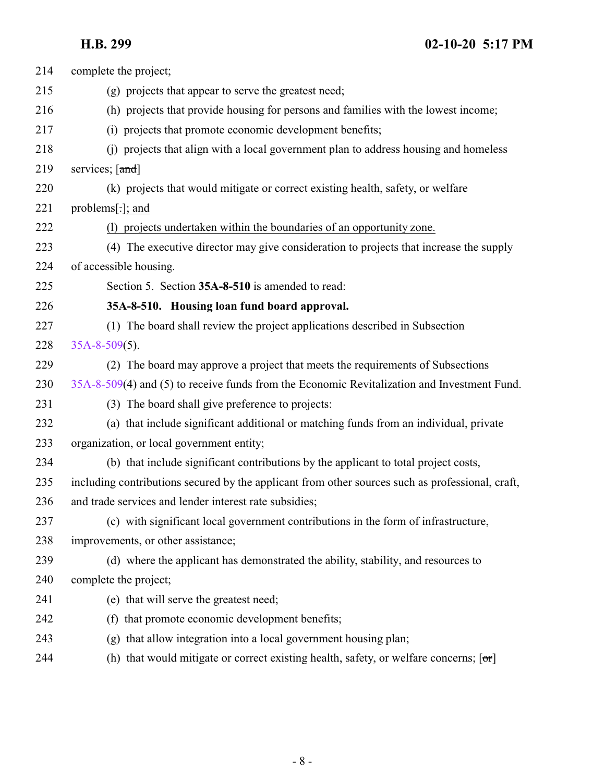<span id="page-7-0"></span>

| (g) projects that appear to serve the greatest need;                                             |
|--------------------------------------------------------------------------------------------------|
| (h) projects that provide housing for persons and families with the lowest income;               |
| (i) projects that promote economic development benefits;                                         |
| (j) projects that align with a local government plan to address housing and homeless             |
| services; [and]                                                                                  |
| (k) projects that would mitigate or correct existing health, safety, or welfare                  |
| problems $[\cdot]$ ; and                                                                         |
| (1) projects undertaken within the boundaries of an opportunity zone.                            |
| (4) The executive director may give consideration to projects that increase the supply           |
| of accessible housing.                                                                           |
| Section 5. Section 35A-8-510 is amended to read:                                                 |
| 35A-8-510. Housing loan fund board approval.                                                     |
| (1) The board shall review the project applications described in Subsection                      |
| $35A-8-509(5)$ .                                                                                 |
| (2) The board may approve a project that meets the requirements of Subsections                   |
| 35A-8-509(4) and (5) to receive funds from the Economic Revitalization and Investment Fund.      |
| (3) The board shall give preference to projects:                                                 |
| (a) that include significant additional or matching funds from an individual, private            |
| organization, or local government entity;                                                        |
| (b) that include significant contributions by the applicant to total project costs,              |
| including contributions secured by the applicant from other sources such as professional, craft, |
| and trade services and lender interest rate subsidies;                                           |
| (c) with significant local government contributions in the form of infrastructure,               |
| improvements, or other assistance;                                                               |
| (d) where the applicant has demonstrated the ability, stability, and resources to                |
| complete the project;                                                                            |
| (e) that will serve the greatest need;                                                           |
| (f) that promote economic development benefits;                                                  |
|                                                                                                  |
| (g) that allow integration into a local government housing plan;                                 |
|                                                                                                  |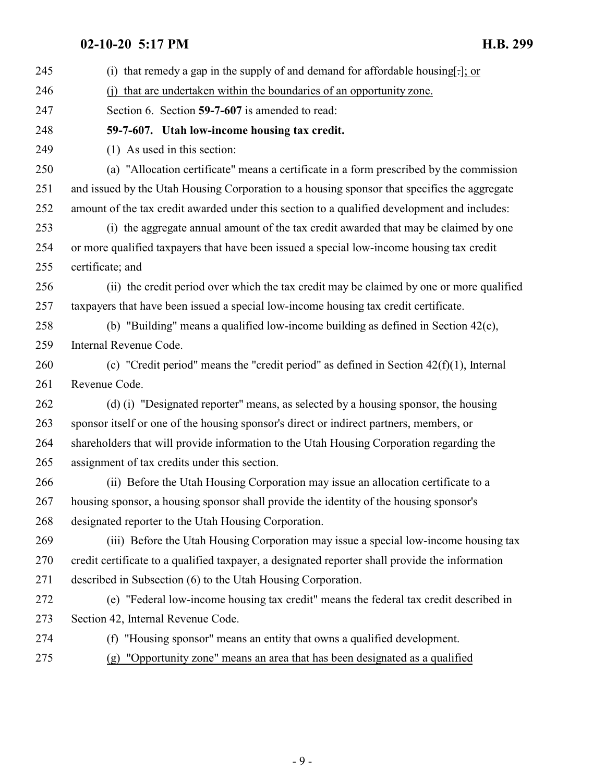<span id="page-8-0"></span>

| 245 | (i) that remedy a gap in the supply of and demand for affordable housing[ $\cdot$ ]; or         |
|-----|-------------------------------------------------------------------------------------------------|
| 246 | that are undertaken within the boundaries of an opportunity zone.                               |
| 247 | Section 6. Section 59-7-607 is amended to read:                                                 |
| 248 | 59-7-607. Utah low-income housing tax credit.                                                   |
| 249 | (1) As used in this section:                                                                    |
| 250 | (a) "Allocation certificate" means a certificate in a form prescribed by the commission         |
| 251 | and issued by the Utah Housing Corporation to a housing sponsor that specifies the aggregate    |
| 252 | amount of the tax credit awarded under this section to a qualified development and includes:    |
| 253 | (i) the aggregate annual amount of the tax credit awarded that may be claimed by one            |
| 254 | or more qualified taxpayers that have been issued a special low-income housing tax credit       |
| 255 | certificate; and                                                                                |
| 256 | (ii) the credit period over which the tax credit may be claimed by one or more qualified        |
| 257 | taxpayers that have been issued a special low-income housing tax credit certificate.            |
| 258 | (b) "Building" means a qualified low-income building as defined in Section 42(c),               |
| 259 | Internal Revenue Code.                                                                          |
| 260 | (c) "Credit period" means the "credit period" as defined in Section $42(f)(1)$ , Internal       |
|     |                                                                                                 |
| 261 | Revenue Code.                                                                                   |
| 262 | (d) (i) "Designated reporter" means, as selected by a housing sponsor, the housing              |
| 263 | sponsor itself or one of the housing sponsor's direct or indirect partners, members, or         |
| 264 | shareholders that will provide information to the Utah Housing Corporation regarding the        |
| 265 | assignment of tax credits under this section.                                                   |
| 266 | (ii) Before the Utah Housing Corporation may issue an allocation certificate to a               |
| 267 | housing sponsor, a housing sponsor shall provide the identity of the housing sponsor's          |
| 268 | designated reporter to the Utah Housing Corporation.                                            |
| 269 | (iii) Before the Utah Housing Corporation may issue a special low-income housing tax            |
| 270 | credit certificate to a qualified taxpayer, a designated reporter shall provide the information |
| 271 | described in Subsection (6) to the Utah Housing Corporation.                                    |
| 272 | (e) "Federal low-income housing tax credit" means the federal tax credit described in           |
| 273 | Section 42, Internal Revenue Code.                                                              |
| 274 | (f) "Housing sponsor" means an entity that owns a qualified development.                        |
| 275 | "Opportunity zone" means an area that has been designated as a qualified<br>(g)                 |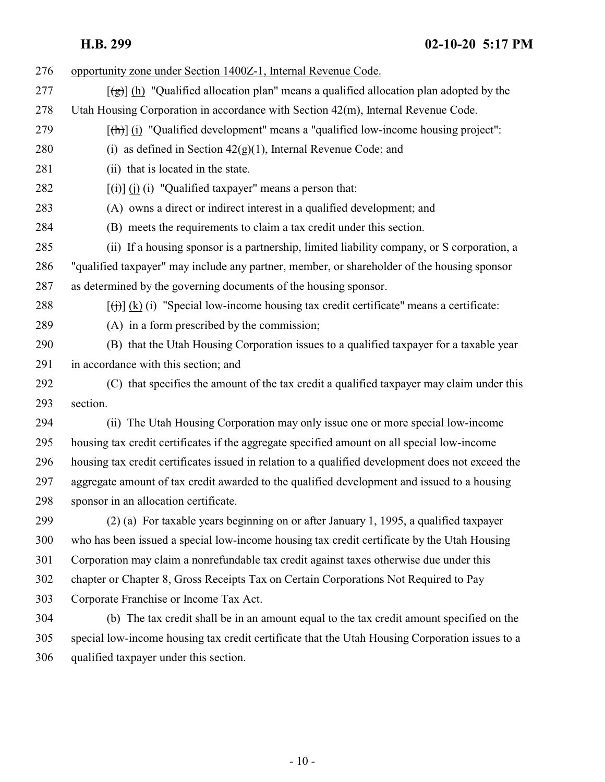| 276 | opportunity zone under Section 1400Z-1, Internal Revenue Code.                                              |
|-----|-------------------------------------------------------------------------------------------------------------|
| 277 | $\left[\frac{1}{2}\right]$ (h) "Qualified allocation plan" means a qualified allocation plan adopted by the |
| 278 | Utah Housing Corporation in accordance with Section 42(m), Internal Revenue Code.                           |
| 279 | $[\frac{h}{\ln}]$ (i) "Qualified development" means a "qualified low-income housing project":               |
| 280 | (i) as defined in Section $42(g)(1)$ , Internal Revenue Code; and                                           |
| 281 | (ii) that is located in the state.                                                                          |
| 282 | $[\overrightarrow{(i)}]$ (i) (i) "Qualified taxpayer" means a person that:                                  |
| 283 | (A) owns a direct or indirect interest in a qualified development; and                                      |
| 284 | (B) meets the requirements to claim a tax credit under this section.                                        |
| 285 | (ii) If a housing sponsor is a partnership, limited liability company, or S corporation, a                  |
| 286 | "qualified taxpayer" may include any partner, member, or shareholder of the housing sponsor                 |
| 287 | as determined by the governing documents of the housing sponsor.                                            |
| 288 | $[f(t)]$ (k) (i) "Special low-income housing tax credit certificate" means a certificate:                   |
| 289 | (A) in a form prescribed by the commission;                                                                 |
| 290 | (B) that the Utah Housing Corporation issues to a qualified taxpayer for a taxable year                     |
| 291 | in accordance with this section; and                                                                        |
| 292 | (C) that specifies the amount of the tax credit a qualified taxpayer may claim under this                   |
| 293 | section.                                                                                                    |
| 294 | (ii) The Utah Housing Corporation may only issue one or more special low-income                             |
| 295 | housing tax credit certificates if the aggregate specified amount on all special low-income                 |
| 296 | housing tax credit certificates issued in relation to a qualified development does not exceed the           |
| 297 | aggregate amount of tax credit awarded to the qualified development and issued to a housing                 |
| 298 | sponsor in an allocation certificate.                                                                       |
| 299 | (2) (a) For taxable years beginning on or after January 1, 1995, a qualified taxpayer                       |
| 300 | who has been issued a special low-income housing tax credit certificate by the Utah Housing                 |
| 301 | Corporation may claim a nonrefundable tax credit against taxes otherwise due under this                     |
| 302 | chapter or Chapter 8, Gross Receipts Tax on Certain Corporations Not Required to Pay                        |
| 303 | Corporate Franchise or Income Tax Act.                                                                      |
| 304 | (b) The tax credit shall be in an amount equal to the tax credit amount specified on the                    |
| 305 | special low-income housing tax credit certificate that the Utah Housing Corporation issues to a             |
| 306 | qualified taxpayer under this section.                                                                      |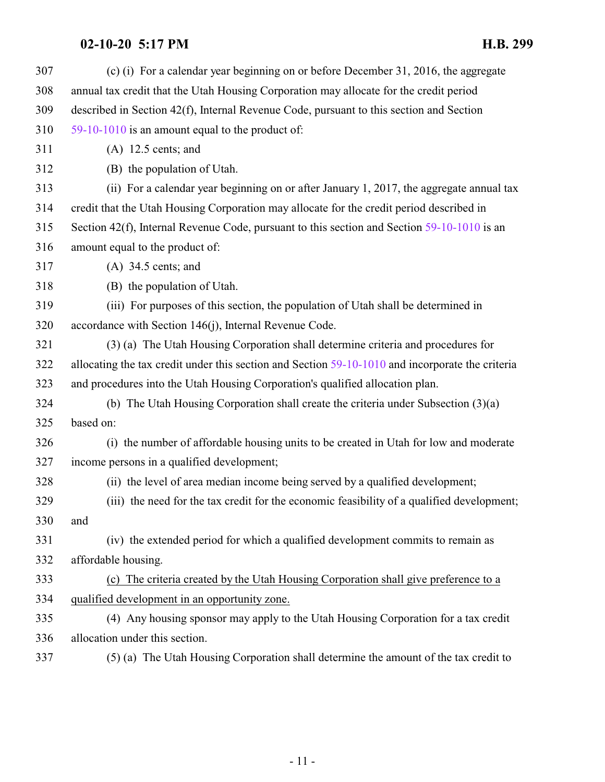| 307 | (c) (i) For a calendar year beginning on or before December 31, 2016, the aggregate              |
|-----|--------------------------------------------------------------------------------------------------|
| 308 | annual tax credit that the Utah Housing Corporation may allocate for the credit period           |
| 309 | described in Section 42(f), Internal Revenue Code, pursuant to this section and Section          |
| 310 | 59-10-1010 is an amount equal to the product of:                                                 |
| 311 | $(A)$ 12.5 cents; and                                                                            |
| 312 | (B) the population of Utah.                                                                      |
| 313 | (ii) For a calendar year beginning on or after January 1, 2017, the aggregate annual tax         |
| 314 | credit that the Utah Housing Corporation may allocate for the credit period described in         |
| 315 | Section 42(f), Internal Revenue Code, pursuant to this section and Section 59-10-1010 is an      |
| 316 | amount equal to the product of:                                                                  |
| 317 | $(A)$ 34.5 cents; and                                                                            |
| 318 | (B) the population of Utah.                                                                      |
| 319 | (iii) For purposes of this section, the population of Utah shall be determined in                |
| 320 | accordance with Section 146(j), Internal Revenue Code.                                           |
| 321 | (3) (a) The Utah Housing Corporation shall determine criteria and procedures for                 |
| 322 | allocating the tax credit under this section and Section 59-10-1010 and incorporate the criteria |
| 323 | and procedures into the Utah Housing Corporation's qualified allocation plan.                    |
| 324 | (b) The Utah Housing Corporation shall create the criteria under Subsection $(3)(a)$             |
| 325 | based on:                                                                                        |
| 326 | (i) the number of affordable housing units to be created in Utah for low and moderate            |
| 327 | income persons in a qualified development;                                                       |
| 328 | (ii) the level of area median income being served by a qualified development;                    |
| 329 | (iii) the need for the tax credit for the economic feasibility of a qualified development;       |
| 330 | and                                                                                              |
| 331 | (iv) the extended period for which a qualified development commits to remain as                  |
| 332 | affordable housing.                                                                              |
| 333 | (c) The criteria created by the Utah Housing Corporation shall give preference to a              |
| 334 | qualified development in an opportunity zone.                                                    |
| 335 | (4) Any housing sponsor may apply to the Utah Housing Corporation for a tax credit               |
| 336 | allocation under this section.                                                                   |
| 337 | (5) (a) The Utah Housing Corporation shall determine the amount of the tax credit to             |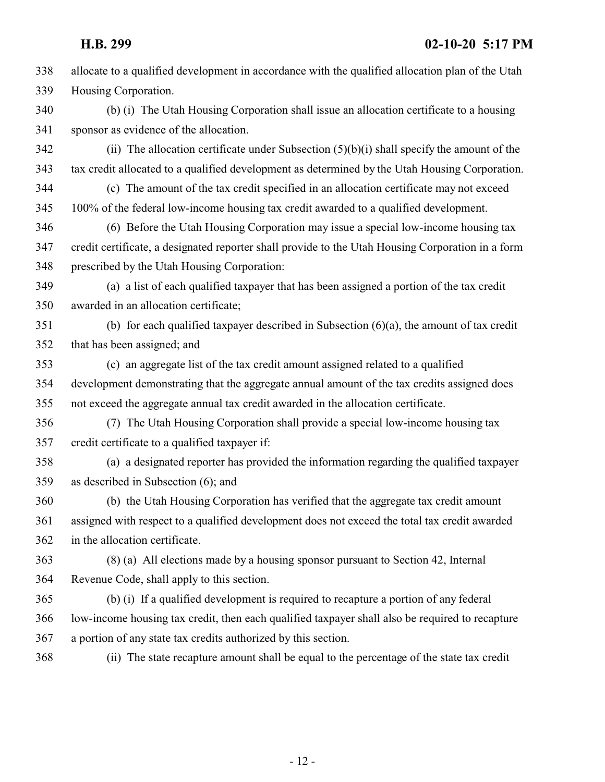allocate to a qualified development in accordance with the qualified allocation plan of the Utah Housing Corporation. (b) (i) The Utah Housing Corporation shall issue an allocation certificate to a housing sponsor as evidence of the allocation. (ii) The allocation certificate under Subsection  $(5)(b)(i)$  shall specify the amount of the tax credit allocated to a qualified development as determined by the Utah Housing Corporation. (c) The amount of the tax credit specified in an allocation certificate may not exceed 100% of the federal low-income housing tax credit awarded to a qualified development. (6) Before the Utah Housing Corporation may issue a special low-income housing tax credit certificate, a designated reporter shall provide to the Utah Housing Corporation in a form prescribed by the Utah Housing Corporation: (a) a list of each qualified taxpayer that has been assigned a portion of the tax credit awarded in an allocation certificate; (b) for each qualified taxpayer described in Subsection (6)(a), the amount of tax credit that has been assigned; and (c) an aggregate list of the tax credit amount assigned related to a qualified development demonstrating that the aggregate annual amount of the tax credits assigned does not exceed the aggregate annual tax credit awarded in the allocation certificate. (7) The Utah Housing Corporation shall provide a special low-income housing tax credit certificate to a qualified taxpayer if: (a) a designated reporter has provided the information regarding the qualified taxpayer as described in Subsection (6); and (b) the Utah Housing Corporation has verified that the aggregate tax credit amount assigned with respect to a qualified development does not exceed the total tax credit awarded in the allocation certificate. (8) (a) All elections made by a housing sponsor pursuant to Section 42, Internal Revenue Code, shall apply to this section. (b) (i) If a qualified development is required to recapture a portion of any federal low-income housing tax credit, then each qualified taxpayer shall also be required to recapture a portion of any state tax credits authorized by this section. (ii) The state recapture amount shall be equal to the percentage of the state tax credit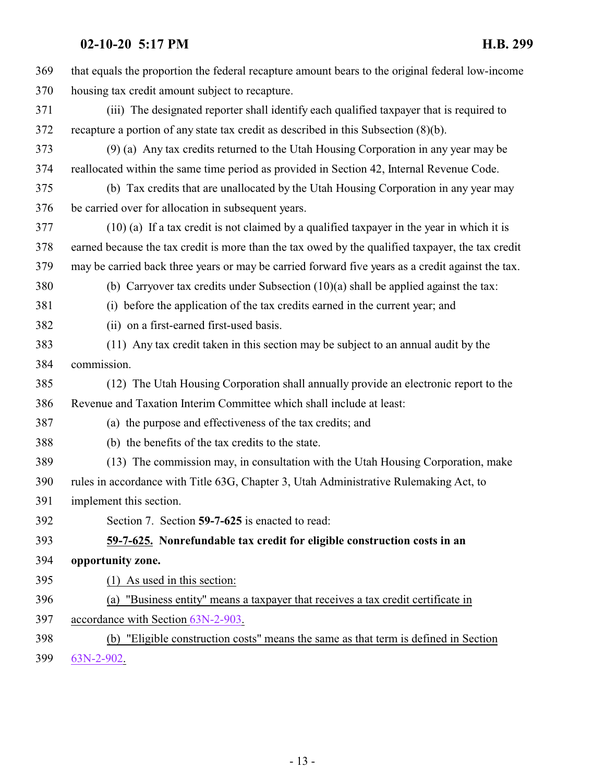<span id="page-12-0"></span>

| 369 | that equals the proportion the federal recapture amount bears to the original federal low-income  |
|-----|---------------------------------------------------------------------------------------------------|
| 370 | housing tax credit amount subject to recapture.                                                   |
| 371 | (iii) The designated reporter shall identify each qualified taxpayer that is required to          |
| 372 | recapture a portion of any state tax credit as described in this Subsection $(8)(b)$ .            |
| 373 | (9) (a) Any tax credits returned to the Utah Housing Corporation in any year may be               |
| 374 | reallocated within the same time period as provided in Section 42, Internal Revenue Code.         |
| 375 | (b) Tax credits that are unallocated by the Utah Housing Corporation in any year may              |
| 376 | be carried over for allocation in subsequent years.                                               |
| 377 | $(10)$ (a) If a tax credit is not claimed by a qualified taxpayer in the year in which it is      |
| 378 | earned because the tax credit is more than the tax owed by the qualified taxpayer, the tax credit |
| 379 | may be carried back three years or may be carried forward five years as a credit against the tax. |
| 380 | (b) Carryover tax credits under Subsection $(10)(a)$ shall be applied against the tax:            |
| 381 | (i) before the application of the tax credits earned in the current year; and                     |
| 382 | (ii) on a first-earned first-used basis.                                                          |
| 383 | (11) Any tax credit taken in this section may be subject to an annual audit by the                |
| 384 | commission.                                                                                       |
| 385 | (12) The Utah Housing Corporation shall annually provide an electronic report to the              |
| 386 | Revenue and Taxation Interim Committee which shall include at least:                              |
| 387 | (a) the purpose and effectiveness of the tax credits; and                                         |
| 388 | (b) the benefits of the tax credits to the state.                                                 |
| 389 | (13) The commission may, in consultation with the Utah Housing Corporation, make                  |
| 390 | rules in accordance with Title 63G, Chapter 3, Utah Administrative Rulemaking Act, to             |
| 391 | implement this section.                                                                           |
| 392 | Section 7. Section 59-7-625 is enacted to read:                                                   |
| 393 | 59-7-625. Nonrefundable tax credit for eligible construction costs in an                          |
| 394 | opportunity zone.                                                                                 |
| 395 | $(1)$ As used in this section:                                                                    |
| 396 | "Business entity" means a taxpayer that receives a tax credit certificate in<br>(a)               |
| 397 | accordance with Section 63N-2-903.                                                                |
| 398 | (b) "Eligible construction costs" means the same as that term is defined in Section               |
| 399 | 63N-2-902.                                                                                        |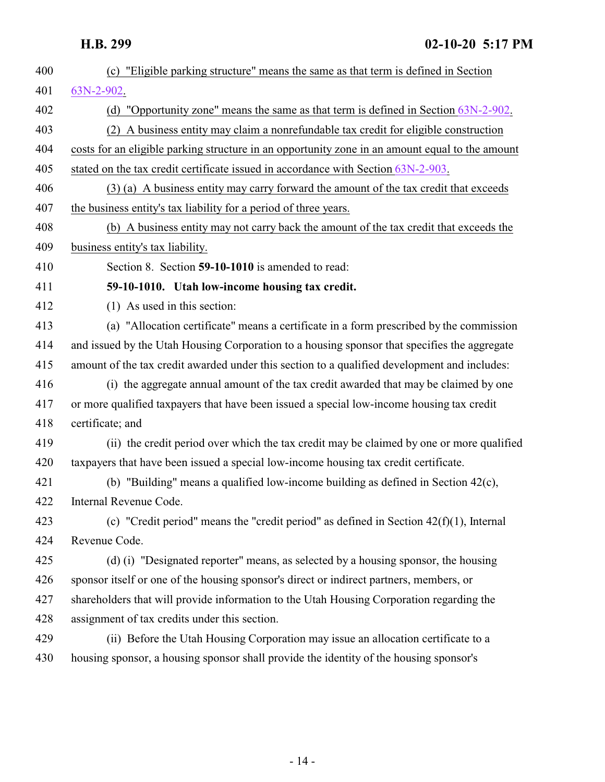<span id="page-13-0"></span> (c) "Eligible parking structure" means the same as that term is defined in Section [63N-2-902](#page-24-1). (d) "Opportunity zone" means the same as that term is defined in Section [63N-2-902](#page-24-1). (2) A business entity may claim a nonrefundable tax credit for eligible construction costs for an eligible parking structure in an opportunity zone in an amount equal to the amount stated on the tax credit certificate issued in accordance with Section [63N-2-903](#page-25-0). (3) (a) A business entity may carry forward the amount of the tax credit that exceeds the business entity's tax liability for a period of three years. (b) A business entity may not carry back the amount of the tax credit that exceeds the business entity's tax liability. Section 8. Section **59-10-1010** is amended to read: **59-10-1010. Utah low-income housing tax credit.** (1) As used in this section: (a) "Allocation certificate" means a certificate in a form prescribed by the commission and issued by the Utah Housing Corporation to a housing sponsor that specifies the aggregate amount of the tax credit awarded under this section to a qualified development and includes: (i) the aggregate annual amount of the tax credit awarded that may be claimed by one or more qualified taxpayers that have been issued a special low-income housing tax credit certificate; and (ii) the credit period over which the tax credit may be claimed by one or more qualified taxpayers that have been issued a special low-income housing tax credit certificate. (b) "Building" means a qualified low-income building as defined in Section 42(c), Internal Revenue Code. (c) "Credit period" means the "credit period" as defined in Section 42(f)(1), Internal Revenue Code. (d) (i) "Designated reporter" means, as selected by a housing sponsor, the housing sponsor itself or one of the housing sponsor's direct or indirect partners, members, or shareholders that will provide information to the Utah Housing Corporation regarding the assignment of tax credits under this section. (ii) Before the Utah Housing Corporation may issue an allocation certificate to a housing sponsor, a housing sponsor shall provide the identity of the housing sponsor's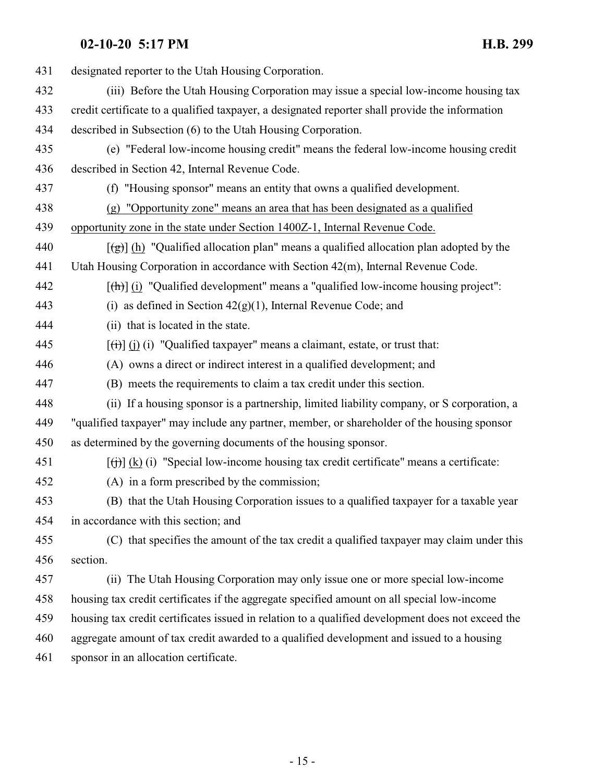| 431 | designated reporter to the Utah Housing Corporation.                                                          |
|-----|---------------------------------------------------------------------------------------------------------------|
| 432 | (iii) Before the Utah Housing Corporation may issue a special low-income housing tax                          |
| 433 | credit certificate to a qualified taxpayer, a designated reporter shall provide the information               |
| 434 | described in Subsection (6) to the Utah Housing Corporation.                                                  |
| 435 | (e) "Federal low-income housing credit" means the federal low-income housing credit                           |
| 436 | described in Section 42, Internal Revenue Code.                                                               |
| 437 | (f) "Housing sponsor" means an entity that owns a qualified development.                                      |
| 438 | (g) "Opportunity zone" means an area that has been designated as a qualified                                  |
| 439 | opportunity zone in the state under Section 1400Z-1, Internal Revenue Code.                                   |
| 440 | $\left[\frac{1}{2}\right]$ (h) "Qualified allocation plan" means a qualified allocation plan adopted by the   |
| 441 | Utah Housing Corporation in accordance with Section 42(m), Internal Revenue Code.                             |
| 442 | $[\frac{h}{\ln}]$ (i) "Qualified development" means a "qualified low-income housing project":                 |
| 443 | (i) as defined in Section $42(g)(1)$ , Internal Revenue Code; and                                             |
| 444 | (ii) that is located in the state.                                                                            |
| 445 | $\left[\left(\frac{1}{1}\right)\right]$ (i) (i) "Qualified taxpayer" means a claimant, estate, or trust that: |
| 446 | (A) owns a direct or indirect interest in a qualified development; and                                        |
| 447 | (B) meets the requirements to claim a tax credit under this section.                                          |
| 448 | (ii) If a housing sponsor is a partnership, limited liability company, or S corporation, a                    |
| 449 | "qualified taxpayer" may include any partner, member, or shareholder of the housing sponsor                   |
| 450 | as determined by the governing documents of the housing sponsor.                                              |
| 451 | $[f(t)]$ (k) (i) "Special low-income housing tax credit certificate" means a certificate:                     |
| 452 | (A) in a form prescribed by the commission;                                                                   |
| 453 | (B) that the Utah Housing Corporation issues to a qualified taxpayer for a taxable year                       |
| 454 | in accordance with this section; and                                                                          |
| 455 | (C) that specifies the amount of the tax credit a qualified taxpayer may claim under this                     |
| 456 | section.                                                                                                      |
| 457 | (ii) The Utah Housing Corporation may only issue one or more special low-income                               |
| 458 | housing tax credit certificates if the aggregate specified amount on all special low-income                   |
| 459 | housing tax credit certificates issued in relation to a qualified development does not exceed the             |
| 460 | aggregate amount of tax credit awarded to a qualified development and issued to a housing                     |
| 461 | sponsor in an allocation certificate.                                                                         |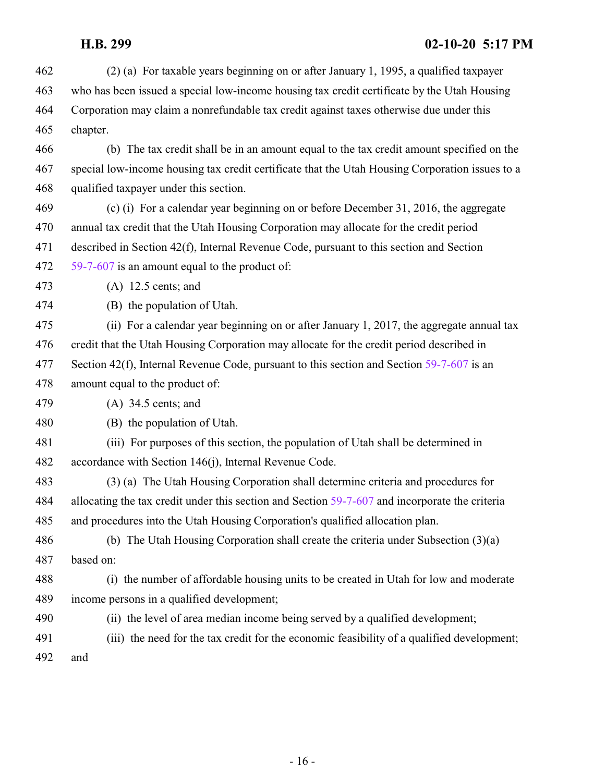(2) (a) For taxable years beginning on or after January 1, 1995, a qualified taxpayer who has been issued a special low-income housing tax credit certificate by the Utah Housing Corporation may claim a nonrefundable tax credit against taxes otherwise due under this chapter. (b) The tax credit shall be in an amount equal to the tax credit amount specified on the special low-income housing tax credit certificate that the Utah Housing Corporation issues to a qualified taxpayer under this section. (c) (i) For a calendar year beginning on or before December 31, 2016, the aggregate annual tax credit that the Utah Housing Corporation may allocate for the credit period described in Section 42(f), Internal Revenue Code, pursuant to this section and Section [59-7-607](#page-8-0) is an amount equal to the product of: (A) 12.5 cents; and (B) the population of Utah. (ii) For a calendar year beginning on or after January 1, 2017, the aggregate annual tax credit that the Utah Housing Corporation may allocate for the credit period described in 477 Section 42(f), Internal Revenue Code, pursuant to this section and Section [59-7-607](#page-8-0) is an amount equal to the product of: (A) 34.5 cents; and (B) the population of Utah. (iii) For purposes of this section, the population of Utah shall be determined in accordance with Section 146(j), Internal Revenue Code. (3) (a) The Utah Housing Corporation shall determine criteria and procedures for allocating the tax credit under this section and Section [59-7-607](#page-8-0) and incorporate the criteria and procedures into the Utah Housing Corporation's qualified allocation plan. (b) The Utah Housing Corporation shall create the criteria under Subsection (3)(a) based on: (i) the number of affordable housing units to be created in Utah for low and moderate income persons in a qualified development; (ii) the level of area median income being served by a qualified development; (iii) the need for the tax credit for the economic feasibility of a qualified development; and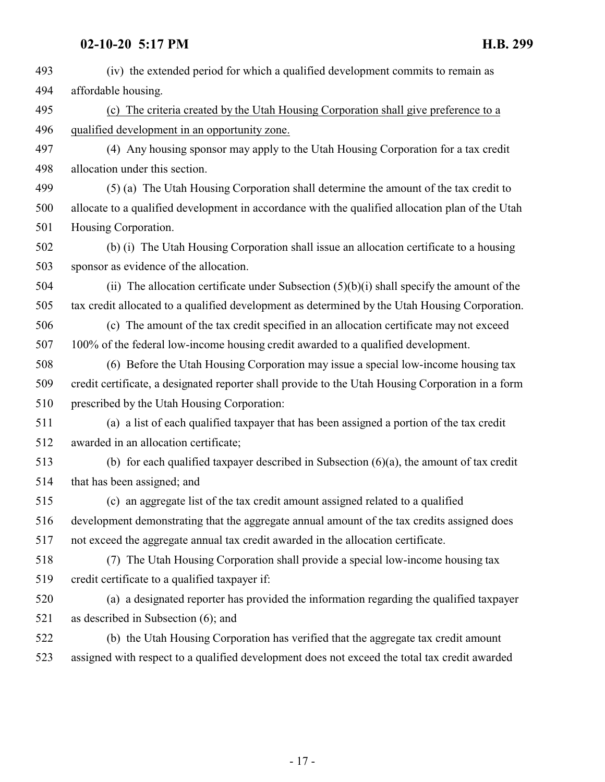| 493 | (iv) the extended period for which a qualified development commits to remain as                   |
|-----|---------------------------------------------------------------------------------------------------|
| 494 | affordable housing.                                                                               |
| 495 | (c) The criteria created by the Utah Housing Corporation shall give preference to a               |
| 496 | qualified development in an opportunity zone.                                                     |
| 497 | (4) Any housing sponsor may apply to the Utah Housing Corporation for a tax credit                |
| 498 | allocation under this section.                                                                    |
| 499 | (5) (a) The Utah Housing Corporation shall determine the amount of the tax credit to              |
| 500 | allocate to a qualified development in accordance with the qualified allocation plan of the Utah  |
| 501 | Housing Corporation.                                                                              |
| 502 | (b) (i) The Utah Housing Corporation shall issue an allocation certificate to a housing           |
| 503 | sponsor as evidence of the allocation.                                                            |
| 504 | (ii) The allocation certificate under Subsection $(5)(b)(i)$ shall specify the amount of the      |
| 505 | tax credit allocated to a qualified development as determined by the Utah Housing Corporation.    |
| 506 | (c) The amount of the tax credit specified in an allocation certificate may not exceed            |
| 507 | 100% of the federal low-income housing credit awarded to a qualified development.                 |
| 508 | (6) Before the Utah Housing Corporation may issue a special low-income housing tax                |
| 509 | credit certificate, a designated reporter shall provide to the Utah Housing Corporation in a form |
| 510 | prescribed by the Utah Housing Corporation:                                                       |
| 511 | (a) a list of each qualified taxpayer that has been assigned a portion of the tax credit          |
| 512 | awarded in an allocation certificate;                                                             |
| 513 | (b) for each qualified taxpayer described in Subsection $(6)(a)$ , the amount of tax credit       |
| 514 | that has been assigned; and                                                                       |
| 515 | (c) an aggregate list of the tax credit amount assigned related to a qualified                    |
| 516 | development demonstrating that the aggregate annual amount of the tax credits assigned does       |
| 517 | not exceed the aggregate annual tax credit awarded in the allocation certificate.                 |
| 518 | (7) The Utah Housing Corporation shall provide a special low-income housing tax                   |
| 519 | credit certificate to a qualified taxpayer if:                                                    |
| 520 | (a) a designated reporter has provided the information regarding the qualified taxpayer           |
| 521 | as described in Subsection $(6)$ ; and                                                            |
| 522 | (b) the Utah Housing Corporation has verified that the aggregate tax credit amount                |
| 523 | assigned with respect to a qualified development does not exceed the total tax credit awarded     |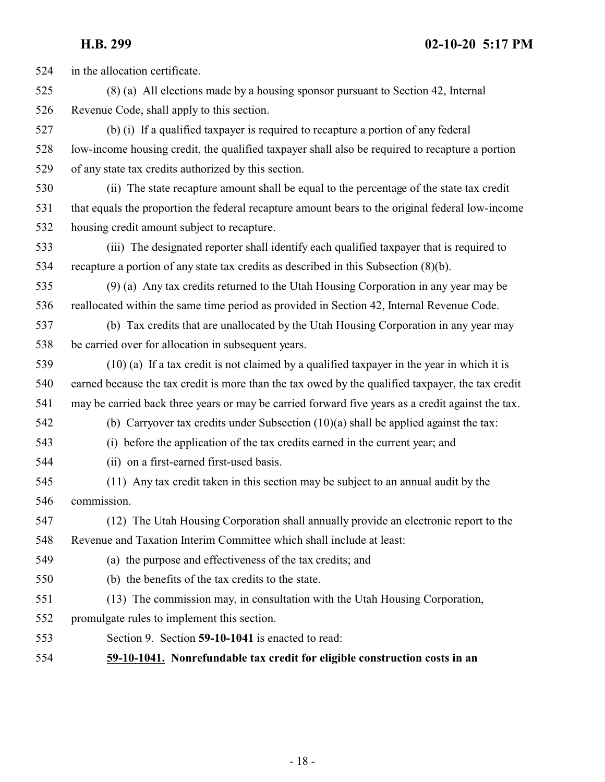in the allocation certificate.

 (8) (a) All elections made by a housing sponsor pursuant to Section 42, Internal Revenue Code, shall apply to this section.

 (b) (i) If a qualified taxpayer is required to recapture a portion of any federal low-income housing credit, the qualified taxpayer shall also be required to recapture a portion of any state tax credits authorized by this section.

 (ii) The state recapture amount shall be equal to the percentage of the state tax credit that equals the proportion the federal recapture amount bears to the original federal low-income housing credit amount subject to recapture.

 (iii) The designated reporter shall identify each qualified taxpayer that is required to recapture a portion of any state tax credits as described in this Subsection (8)(b).

 (9) (a) Any tax credits returned to the Utah Housing Corporation in any year may be reallocated within the same time period as provided in Section 42, Internal Revenue Code.

 (b) Tax credits that are unallocated by the Utah Housing Corporation in any year may be carried over for allocation in subsequent years.

 (10) (a) If a tax credit is not claimed by a qualified taxpayer in the year in which it is earned because the tax credit is more than the tax owed by the qualified taxpayer, the tax credit may be carried back three years or may be carried forward five years as a credit against the tax.

(b) Carryover tax credits under Subsection (10)(a) shall be applied against the tax:

(i) before the application of the tax credits earned in the current year; and

- (ii) on a first-earned first-used basis.
- (11) Any tax credit taken in this section may be subject to an annual audit by the commission.

 (12) The Utah Housing Corporation shall annually provide an electronic report to the Revenue and Taxation Interim Committee which shall include at least:

- (a) the purpose and effectiveness of the tax credits; and
- (b) the benefits of the tax credits to the state.
- (13) The commission may, in consultation with the Utah Housing Corporation,
- promulgate rules to implement this section.
- <span id="page-17-0"></span>Section 9. Section **59-10-1041** is enacted to read:

### **59-10-1041. Nonrefundable tax credit for eligible construction costs in an**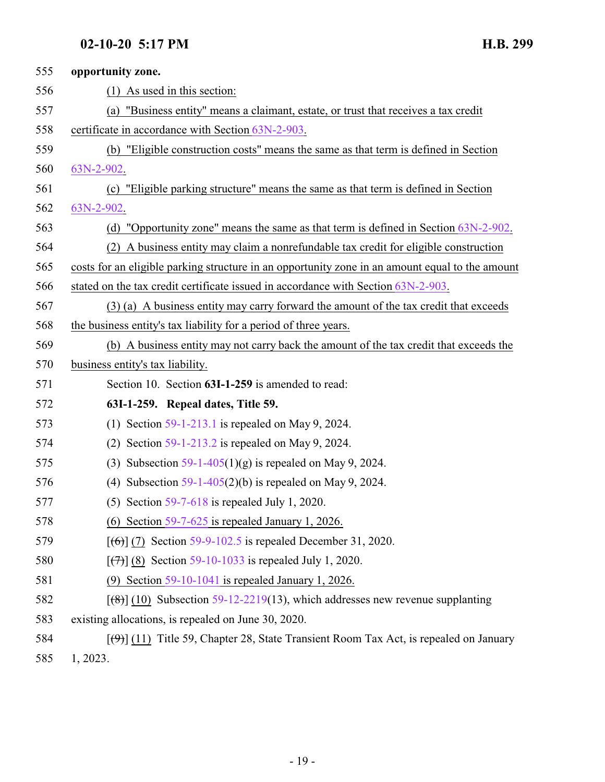<span id="page-18-0"></span>

| 555 | opportunity zone.                                                                                           |
|-----|-------------------------------------------------------------------------------------------------------------|
| 556 | $(1)$ As used in this section:                                                                              |
| 557 | "Business entity" means a claimant, estate, or trust that receives a tax credit<br>(a)                      |
| 558 | certificate in accordance with Section 63N-2-903.                                                           |
| 559 | (b) "Eligible construction costs" means the same as that term is defined in Section                         |
| 560 | 63N-2-902.                                                                                                  |
| 561 | (c) "Eligible parking structure" means the same as that term is defined in Section                          |
| 562 | 63N-2-902.                                                                                                  |
| 563 | (d) "Opportunity zone" means the same as that term is defined in Section $63N-2-902$ .                      |
| 564 | (2) A business entity may claim a nonrefundable tax credit for eligible construction                        |
| 565 | costs for an eligible parking structure in an opportunity zone in an amount equal to the amount             |
| 566 | stated on the tax credit certificate issued in accordance with Section 63N-2-903.                           |
| 567 | (3) (a) A business entity may carry forward the amount of the tax credit that exceeds                       |
| 568 | the business entity's tax liability for a period of three years.                                            |
| 569 | (b) A business entity may not carry back the amount of the tax credit that exceeds the                      |
| 570 | business entity's tax liability.                                                                            |
| 571 | Section 10. Section 63I-1-259 is amended to read:                                                           |
| 572 | 63I-1-259. Repeal dates, Title 59.                                                                          |
| 573 | Section $59-1-213.1$ is repealed on May 9, 2024.<br>(1)                                                     |
| 574 | Section $59-1-213.2$ is repealed on May 9, 2024.<br>(2)                                                     |
| 575 | Subsection $59-1-405(1)(g)$ is repealed on May 9, 2024.<br>(3)                                              |
| 576 | (4) Subsection $59-1-405(2)(b)$ is repealed on May 9, 2024.                                                 |
| 577 | (5) Section $59-7-618$ is repealed July 1, 2020.                                                            |
| 578 | (6) Section $59-7-625$ is repealed January 1, 2026.                                                         |
| 579 | $[(6)]$ (7) Section 59-9-102.5 is repealed December 31, 2020.                                               |
| 580 | $[\frac{7}{7}]$ (8) Section 59-10-1033 is repealed July 1, 2020.                                            |
| 581 | Section $59-10-1041$ is repealed January 1, 2026.<br>(9)                                                    |
| 582 | $[$ (48)] (10) Subsection 59-12-2219(13), which addresses new revenue supplanting                           |
| 583 | existing allocations, is repealed on June 30, 2020.                                                         |
| 584 | $\lceil(\frac{4}{9})\rceil$ (11) Title 59, Chapter 28, State Transient Room Tax Act, is repealed on January |
| 585 | 1, 2023.                                                                                                    |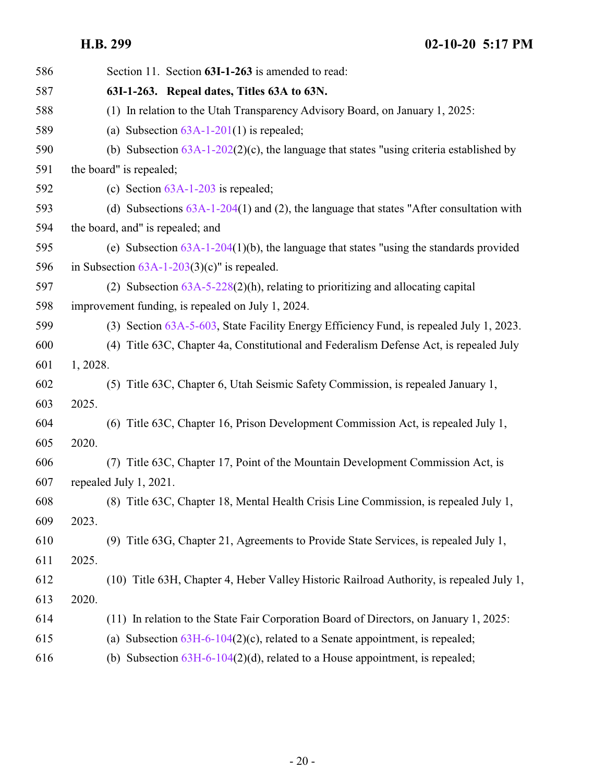<span id="page-19-0"></span>

| 586 | Section 11. Section 63I-1-263 is amended to read:                                          |
|-----|--------------------------------------------------------------------------------------------|
| 587 | 63I-1-263. Repeal dates, Titles 63A to 63N.                                                |
| 588 | (1) In relation to the Utah Transparency Advisory Board, on January 1, 2025:               |
| 589 | (a) Subsection $63A-1-201(1)$ is repealed;                                                 |
| 590 | (b) Subsection $63A-1-202(2)(c)$ , the language that states "using criteria established by |
| 591 | the board" is repealed;                                                                    |
| 592 | (c) Section $63A-1-203$ is repealed;                                                       |
| 593 | (d) Subsections $63A-1-204(1)$ and (2), the language that states "After consultation with  |
| 594 | the board, and" is repealed; and                                                           |
| 595 | (e) Subsection $63A-1-204(1)(b)$ , the language that states "using the standards provided  |
| 596 | in Subsection $63A-1-203(3)(c)$ " is repealed.                                             |
| 597 | (2) Subsection $63A-5-228(2)(h)$ , relating to prioritizing and allocating capital         |
| 598 | improvement funding, is repealed on July 1, 2024.                                          |
| 599 | (3) Section 63A-5-603, State Facility Energy Efficiency Fund, is repealed July 1, 2023.    |
| 600 | (4) Title 63C, Chapter 4a, Constitutional and Federalism Defense Act, is repealed July     |
| 601 | 1, 2028.                                                                                   |
| 602 | (5) Title 63C, Chapter 6, Utah Seismic Safety Commission, is repealed January 1,           |
| 603 | 2025.                                                                                      |
| 604 | (6) Title 63C, Chapter 16, Prison Development Commission Act, is repealed July 1,          |
| 605 | 2020.                                                                                      |
| 606 | (7) Title 63C, Chapter 17, Point of the Mountain Development Commission Act, is            |
| 607 | repealed July 1, 2021.                                                                     |
| 608 | (8) Title 63C, Chapter 18, Mental Health Crisis Line Commission, is repealed July 1,       |
| 609 | 2023.                                                                                      |
| 610 | (9) Title 63G, Chapter 21, Agreements to Provide State Services, is repealed July 1,       |
| 611 | 2025.                                                                                      |
| 612 | (10) Title 63H, Chapter 4, Heber Valley Historic Railroad Authority, is repealed July 1,   |
| 613 | 2020.                                                                                      |
| 614 | (11) In relation to the State Fair Corporation Board of Directors, on January 1, 2025:     |
| 615 | (a) Subsection $63H-6-104(2)(c)$ , related to a Senate appointment, is repealed;           |
| 616 | (b) Subsection $63H-6-104(2)(d)$ , related to a House appointment, is repealed;            |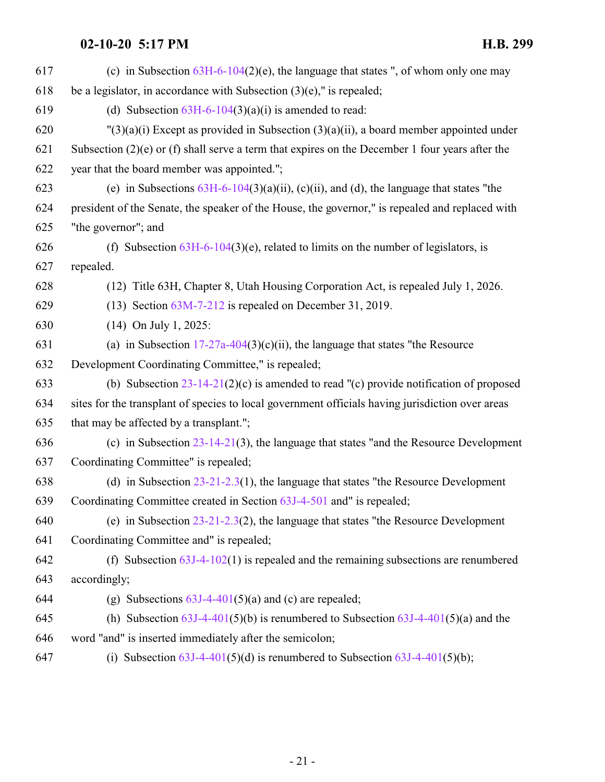| 617 | (c) in Subsection $63H-6-104(2)(e)$ , the language that states ", of whom only one may            |
|-----|---------------------------------------------------------------------------------------------------|
| 618 | be a legislator, in accordance with Subsection $(3)(e)$ ," is repealed;                           |
| 619 | (d) Subsection $63H-6-104(3)(a)(i)$ is amended to read:                                           |
| 620 | $\Gamma(3)(a)(i)$ Except as provided in Subsection (3)(a)(ii), a board member appointed under     |
| 621 | Subsection $(2)(e)$ or (f) shall serve a term that expires on the December 1 four years after the |
| 622 | year that the board member was appointed.";                                                       |
| 623 | (e) in Subsections $63H-6-104(3)(a)(ii)$ , (c)(ii), and (d), the language that states "the        |
| 624 | president of the Senate, the speaker of the House, the governor," is repealed and replaced with   |
| 625 | "the governor"; and                                                                               |
| 626 | (f) Subsection $63H-6-104(3)(e)$ , related to limits on the number of legislators, is             |
| 627 | repealed.                                                                                         |
| 628 | (12) Title 63H, Chapter 8, Utah Housing Corporation Act, is repealed July 1, 2026.                |
| 629 | $(13)$ Section $63M-7-212$ is repealed on December 31, 2019.                                      |
| 630 | $(14)$ On July 1, 2025:                                                                           |
| 631 | (a) in Subsection $17-27a-404(3)(c)(ii)$ , the language that states "the Resource                 |
| 632 | Development Coordinating Committee," is repealed;                                                 |
| 633 | (b) Subsection $23-14-21(2)(c)$ is amended to read "(c) provide notification of proposed          |
| 634 | sites for the transplant of species to local government officials having jurisdiction over areas  |
| 635 | that may be affected by a transplant.";                                                           |
| 636 | (c) in Subsection $23-14-21(3)$ , the language that states "and the Resource Development          |
| 637 | Coordinating Committee" is repealed;                                                              |
| 638 | (d) in Subsection $23-21-2.3(1)$ , the language that states "the Resource Development             |
| 639 | Coordinating Committee created in Section 63J-4-501 and" is repealed;                             |
| 640 | (e) in Subsection $23-21-2.3(2)$ , the language that states "the Resource Development             |
| 641 | Coordinating Committee and" is repealed;                                                          |
| 642 | (f) Subsection $63J-4-102(1)$ is repealed and the remaining subsections are renumbered            |
| 643 | accordingly;                                                                                      |
| 644 | (g) Subsections $63J-4-401(5)(a)$ and (c) are repealed;                                           |
| 645 | (h) Subsection $63J-4-401(5)(b)$ is renumbered to Subsection $63J-4-401(5)(a)$ and the            |
| 646 | word "and" is inserted immediately after the semicolon;                                           |
|     |                                                                                                   |

647 (i) Subsection  $63J-4-401(5)(d)$  is renumbered to Subsection  $63J-4-401(5)(b)$ ;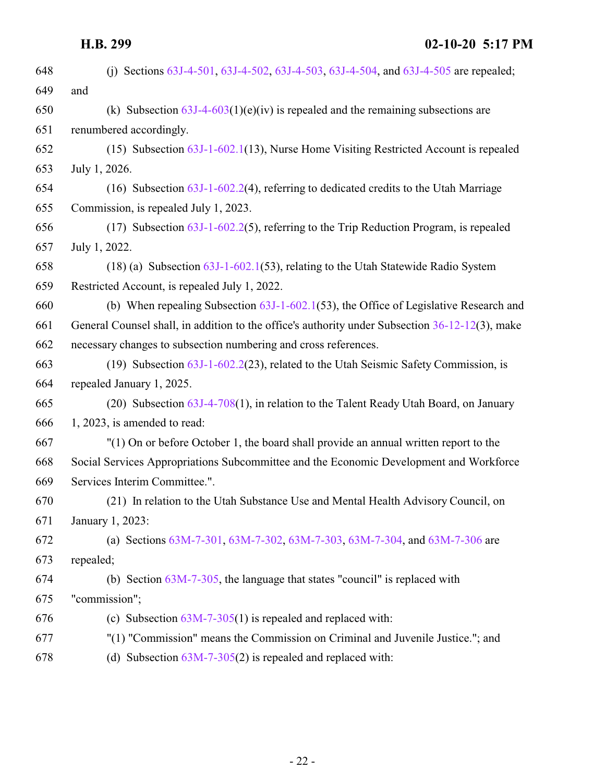| 648 | (i) Sections 63J-4-501, 63J-4-502, 63J-4-503, 63J-4-504, and 63J-4-505 are repealed;            |
|-----|-------------------------------------------------------------------------------------------------|
| 649 | and                                                                                             |
| 650 | (k) Subsection $63J-4-603(1)(e)(iv)$ is repealed and the remaining subsections are              |
| 651 | renumbered accordingly.                                                                         |
| 652 | $(15)$ Subsection $63J-1-602.1(13)$ , Nurse Home Visiting Restricted Account is repealed        |
| 653 | July 1, 2026.                                                                                   |
| 654 | (16) Subsection $63J-1-602.2(4)$ , referring to dedicated credits to the Utah Marriage          |
| 655 | Commission, is repealed July 1, 2023.                                                           |
| 656 | $(17)$ Subsection $63J-1-602.2(5)$ , referring to the Trip Reduction Program, is repealed       |
| 657 | July 1, 2022.                                                                                   |
| 658 | $(18)$ (a) Subsection $63J-1-602.1(53)$ , relating to the Utah Statewide Radio System           |
| 659 | Restricted Account, is repealed July 1, 2022.                                                   |
| 660 | (b) When repealing Subsection $63J-1-602.1(53)$ , the Office of Legislative Research and        |
| 661 | General Counsel shall, in addition to the office's authority under Subsection 36-12-12(3), make |
| 662 | necessary changes to subsection numbering and cross references.                                 |
| 663 | (19) Subsection $63J-1-602.2(23)$ , related to the Utah Seismic Safety Commission, is           |
| 664 | repealed January 1, 2025.                                                                       |
| 665 | (20) Subsection 63J-4-708(1), in relation to the Talent Ready Utah Board, on January            |
| 666 | $1, 2023$ , is amended to read:                                                                 |
| 667 | "(1) On or before October 1, the board shall provide an annual written report to the            |
| 668 | Social Services Appropriations Subcommittee and the Economic Development and Workforce          |
| 669 | Services Interim Committee.".                                                                   |
| 670 | (21) In relation to the Utah Substance Use and Mental Health Advisory Council, on               |
| 671 | January 1, 2023:                                                                                |
| 672 | (a) Sections 63M-7-301, 63M-7-302, 63M-7-303, 63M-7-304, and 63M-7-306 are                      |
| 673 | repealed;                                                                                       |
| 674 | (b) Section $63M-7-305$ , the language that states "council" is replaced with                   |
| 675 | "commission";                                                                                   |
| 676 | (c) Subsection $63M-7-305(1)$ is repealed and replaced with:                                    |
| 677 | "(1) "Commission" means the Commission on Criminal and Juvenile Justice."; and                  |
| 678 | (d) Subsection $63M-7-305(2)$ is repealed and replaced with:                                    |
|     |                                                                                                 |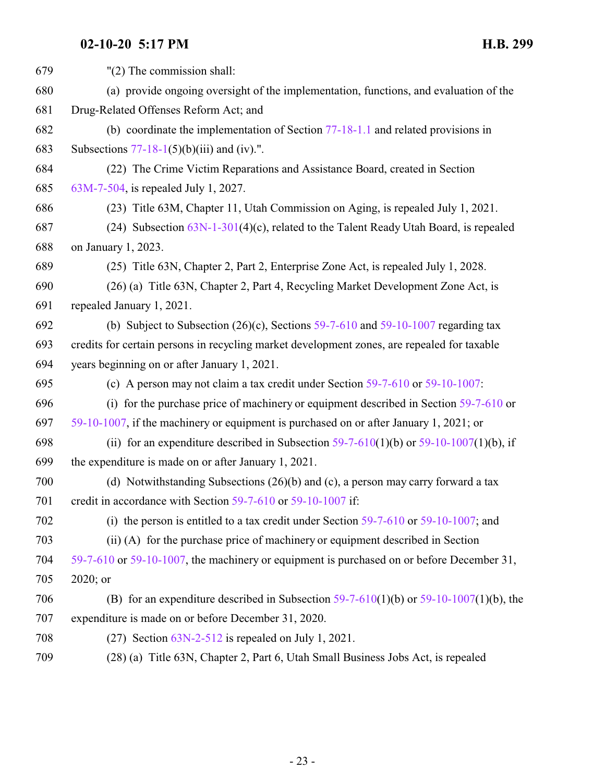| 679 | $"(2)$ The commission shall:                                                                |
|-----|---------------------------------------------------------------------------------------------|
| 680 | (a) provide ongoing oversight of the implementation, functions, and evaluation of the       |
| 681 | Drug-Related Offenses Reform Act; and                                                       |
| 682 | (b) coordinate the implementation of Section $77-18-1.1$ and related provisions in          |
| 683 | Subsections $77-18-1(5)(b)(iii)$ and (iv).".                                                |
| 684 | (22) The Crime Victim Reparations and Assistance Board, created in Section                  |
| 685 | 63M-7-504, is repealed July 1, 2027.                                                        |
| 686 | (23) Title 63M, Chapter 11, Utah Commission on Aging, is repealed July 1, 2021.             |
| 687 | (24) Subsection $63N-1-301(4)(c)$ , related to the Talent Ready Utah Board, is repealed     |
| 688 | on January 1, 2023.                                                                         |
| 689 | (25) Title 63N, Chapter 2, Part 2, Enterprise Zone Act, is repealed July 1, 2028.           |
| 690 | (26) (a) Title 63N, Chapter 2, Part 4, Recycling Market Development Zone Act, is            |
| 691 | repealed January 1, 2021.                                                                   |
| 692 | (b) Subject to Subsection $(26)(c)$ , Sections 59-7-610 and 59-10-1007 regarding tax        |
| 693 | credits for certain persons in recycling market development zones, are repealed for taxable |
| 694 | years beginning on or after January 1, 2021.                                                |
| 695 | (c) A person may not claim a tax credit under Section $59-7-610$ or $59-10-1007$ :          |
| 696 | (i) for the purchase price of machinery or equipment described in Section $59-7-610$ or     |
| 697 | 59-10-1007, if the machinery or equipment is purchased on or after January 1, 2021; or      |
| 698 | (ii) for an expenditure described in Subsection $59-7-610(1)(b)$ or $59-10-1007(1)(b)$ , if |
| 699 | the expenditure is made on or after January 1, 2021.                                        |
| 700 | (d) Notwithstanding Subsections $(26)(b)$ and $(c)$ , a person may carry forward a tax      |
| 701 | credit in accordance with Section 59-7-610 or 59-10-1007 if:                                |
| 702 | (i) the person is entitled to a tax credit under Section $59-7-610$ or $59-10-1007$ ; and   |
| 703 | (ii) (A) for the purchase price of machinery or equipment described in Section              |
| 704 | 59-7-610 or 59-10-1007, the machinery or equipment is purchased on or before December 31,   |
| 705 | 2020; or                                                                                    |
| 706 | (B) for an expenditure described in Subsection $59-7-610(1)(b)$ or $59-10-1007(1)(b)$ , the |
| 707 | expenditure is made on or before December 31, 2020.                                         |
| 708 | $(27)$ Section $63N-2-512$ is repealed on July 1, 2021.                                     |
| 709 | (28) (a) Title 63N, Chapter 2, Part 6, Utah Small Business Jobs Act, is repealed            |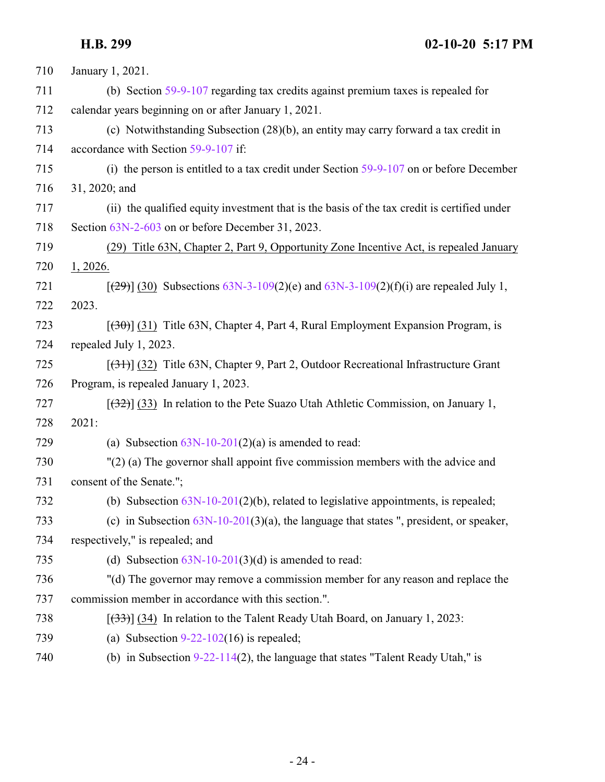| 710 | January 1, 2021.                                                                            |
|-----|---------------------------------------------------------------------------------------------|
| 711 | (b) Section 59-9-107 regarding tax credits against premium taxes is repealed for            |
| 712 | calendar years beginning on or after January 1, 2021.                                       |
| 713 | (c) Notwithstanding Subsection (28)(b), an entity may carry forward a tax credit in         |
| 714 | accordance with Section 59-9-107 if:                                                        |
| 715 | (i) the person is entitled to a tax credit under Section $59-9-107$ on or before December   |
| 716 | 31, 2020; and                                                                               |
| 717 | (ii) the qualified equity investment that is the basis of the tax credit is certified under |
| 718 | Section 63N-2-603 on or before December 31, 2023.                                           |
| 719 | (29) Title 63N, Chapter 2, Part 9, Opportunity Zone Incentive Act, is repealed January      |
| 720 | 1, 2026.                                                                                    |
| 721 | $[29]$ (30) Subsections 63N-3-109(2)(e) and 63N-3-109(2)(f)(i) are repealed July 1,         |
| 722 | 2023.                                                                                       |
| 723 | $[30]$ (31) Title 63N, Chapter 4, Part 4, Rural Employment Expansion Program, is            |
| 724 | repealed July 1, 2023.                                                                      |
| 725 | $[31]$ (32) Title 63N, Chapter 9, Part 2, Outdoor Recreational Infrastructure Grant         |
| 726 | Program, is repealed January 1, 2023.                                                       |
| 727 | $[32]$ (33) In relation to the Pete Suazo Utah Athletic Commission, on January 1,           |
| 728 | 2021:                                                                                       |
| 729 | (a) Subsection $63N-10-201(2)(a)$ is amended to read:                                       |
| 730 | $''(2)$ (a) The governor shall appoint five commission members with the advice and          |
| 731 | consent of the Senate.";                                                                    |
| 732 | (b) Subsection $63N-10-201(2)(b)$ , related to legislative appointments, is repealed;       |
| 733 | (c) in Subsection $63N-10-201(3)(a)$ , the language that states ", president, or speaker,   |
| 734 | respectively," is repealed; and                                                             |
| 735 | (d) Subsection $63N-10-201(3)(d)$ is amended to read:                                       |
| 736 | "(d) The governor may remove a commission member for any reason and replace the             |
| 737 | commission member in accordance with this section.".                                        |
| 738 | $[33]$ (34) In relation to the Talent Ready Utah Board, on January 1, 2023:                 |
| 739 | (a) Subsection $9-22-102(16)$ is repealed;                                                  |
| 740 | (b) in Subsection $9-22-114(2)$ , the language that states "Talent Ready Utah," is          |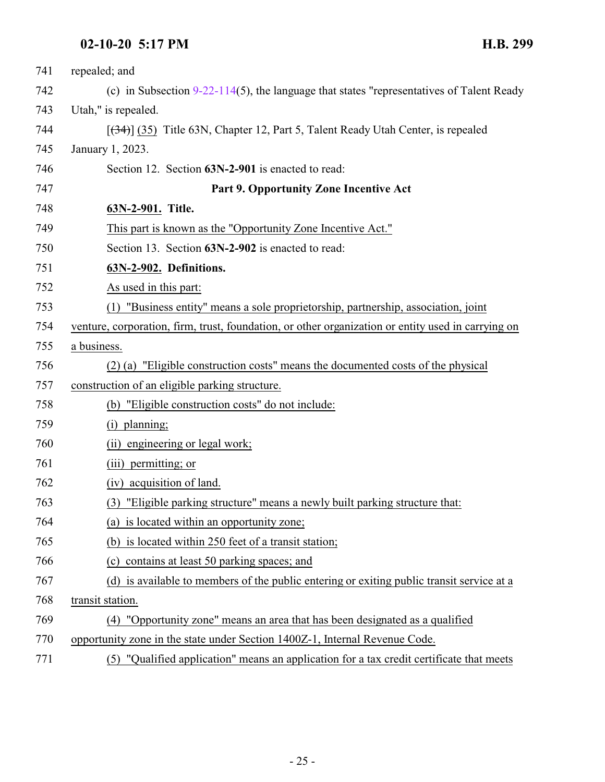<span id="page-24-1"></span><span id="page-24-0"></span>

| 741 | repealed; and                                                                                      |
|-----|----------------------------------------------------------------------------------------------------|
| 742 | (c) in Subsection $9-22-114(5)$ , the language that states "representatives of Talent Ready        |
| 743 | Utah," is repealed.                                                                                |
| 744 | $[ (34) ]$ (35) Title 63N, Chapter 12, Part 5, Talent Ready Utah Center, is repealed               |
| 745 | January 1, 2023.                                                                                   |
| 746 | Section 12. Section 63N-2-901 is enacted to read:                                                  |
| 747 | Part 9. Opportunity Zone Incentive Act                                                             |
| 748 | 63N-2-901. Title.                                                                                  |
| 749 | This part is known as the "Opportunity Zone Incentive Act."                                        |
| 750 | Section 13. Section 63N-2-902 is enacted to read:                                                  |
| 751 | 63N-2-902. Definitions.                                                                            |
| 752 | As used in this part:                                                                              |
| 753 | (1) "Business entity" means a sole proprietorship, partnership, association, joint                 |
| 754 | venture, corporation, firm, trust, foundation, or other organization or entity used in carrying on |
| 755 | a business.                                                                                        |
| 756 | (2) (a) "Eligible construction costs" means the documented costs of the physical                   |
| 757 | construction of an eligible parking structure.                                                     |
| 758 | (b) "Eligible construction costs" do not include:                                                  |
| 759 | (i) planning;                                                                                      |
| 760 | (ii) engineering or legal work;                                                                    |
| 761 | (iii) permitting; or                                                                               |
| 762 | (iv) acquisition of land.                                                                          |
| 763 | (3) "Eligible parking structure" means a newly built parking structure that:                       |
| 764 | (a) is located within an opportunity zone;                                                         |
| 765 | (b) is located within 250 feet of a transit station;                                               |
| 766 | (c) contains at least 50 parking spaces; and                                                       |
| 767 | (d) is available to members of the public entering or exiting public transit service at a          |
| 768 | transit station.                                                                                   |
| 769 | (4) "Opportunity zone" means an area that has been designated as a qualified                       |
| 770 | opportunity zone in the state under Section 1400Z-1, Internal Revenue Code.                        |
| 771 | (5) "Qualified application" means an application for a tax credit certificate that meets           |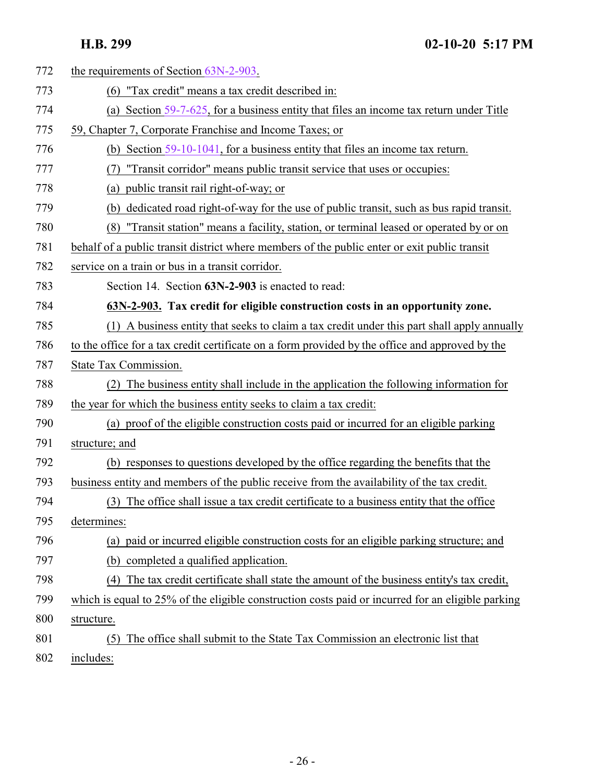<span id="page-25-0"></span>

| 772 | the requirements of Section 63N-2-903.                                                            |
|-----|---------------------------------------------------------------------------------------------------|
| 773 | "Tax credit" means a tax credit described in:<br>(6)                                              |
| 774 | (a) Section $59-7-625$ , for a business entity that files an income tax return under Title        |
| 775 | 59, Chapter 7, Corporate Franchise and Income Taxes; or                                           |
| 776 | (b) Section $59-10-1041$ , for a business entity that files an income tax return.                 |
| 777 | "Transit corridor" means public transit service that uses or occupies:                            |
| 778 | (a) public transit rail right-of-way; or                                                          |
| 779 | dedicated road right-of-way for the use of public transit, such as bus rapid transit.<br>(b)      |
| 780 | "Transit station" means a facility, station, or terminal leased or operated by or on<br>(8)       |
| 781 | behalf of a public transit district where members of the public enter or exit public transit      |
| 782 | service on a train or bus in a transit corridor.                                                  |
| 783 | Section 14. Section 63N-2-903 is enacted to read:                                                 |
| 784 | 63N-2-903. Tax credit for eligible construction costs in an opportunity zone.                     |
| 785 | (1) A business entity that seeks to claim a tax credit under this part shall apply annually       |
| 786 | to the office for a tax credit certificate on a form provided by the office and approved by the   |
| 787 | State Tax Commission.                                                                             |
| 788 | (2) The business entity shall include in the application the following information for            |
| 789 | the year for which the business entity seeks to claim a tax credit:                               |
| 790 | (a) proof of the eligible construction costs paid or incurred for an eligible parking             |
| 791 | structure; and                                                                                    |
| 792 | (b) responses to questions developed by the office regarding the benefits that the                |
| 793 | business entity and members of the public receive from the availability of the tax credit.        |
| 794 | (3) The office shall issue a tax credit certificate to a business entity that the office          |
| 795 | determines:                                                                                       |
| 796 | (a) paid or incurred eligible construction costs for an eligible parking structure; and           |
| 797 | (b) completed a qualified application.                                                            |
| 798 | (4) The tax credit certificate shall state the amount of the business entity's tax credit,        |
| 799 | which is equal to 25% of the eligible construction costs paid or incurred for an eligible parking |
| 800 | structure.                                                                                        |
| 801 | The office shall submit to the State Tax Commission an electronic list that<br>(5)                |
| 802 | includes:                                                                                         |